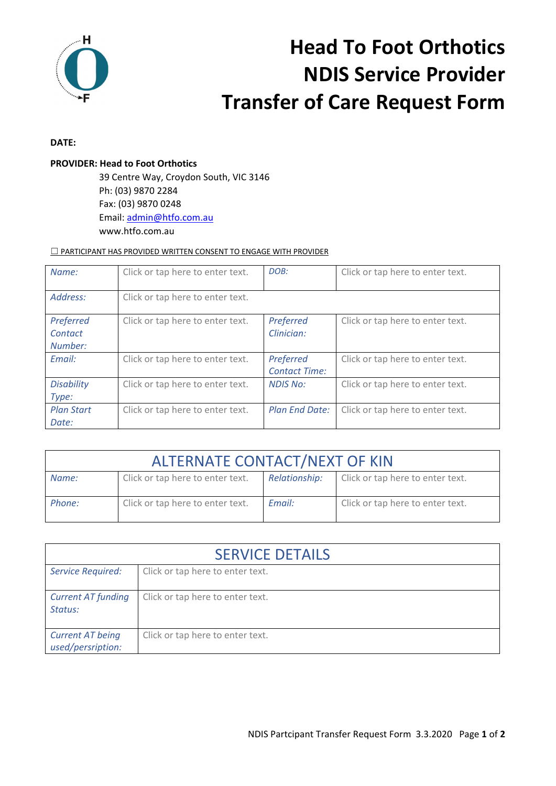

# **Head To Foot Orthotics NDIS Service Provider Transfer of Care Request Form**

### **DATE:**

### **PROVIDER: Head to Foot Orthotics**

 39 Centre Way, Croydon South, VIC 3146 Ph: (03) 9870 2284 Fax: (03) 9870 0248 Email: admin@htfo.com.au www.htfo.com.au

#### □ PARTICIPANT HAS PROVIDED WRITTEN CONSENT TO ENGAGE WITH PROVIDER

| Name:             | Click or tap here to enter text. | DOB:                  | Click or tap here to enter text. |
|-------------------|----------------------------------|-----------------------|----------------------------------|
|                   |                                  |                       |                                  |
| Address:          | Click or tap here to enter text. |                       |                                  |
|                   |                                  |                       |                                  |
| Preferred         | Click or tap here to enter text. | Preferred             | Click or tap here to enter text. |
| Contact           |                                  | Clinician:            |                                  |
| Number:           |                                  |                       |                                  |
| Email:            | Click or tap here to enter text. | Preferred             | Click or tap here to enter text. |
|                   |                                  | <b>Contact Time:</b>  |                                  |
| <b>Disability</b> | Click or tap here to enter text. | <b>NDIS No:</b>       | Click or tap here to enter text. |
| Type:             |                                  |                       |                                  |
| <b>Plan Start</b> | Click or tap here to enter text. | <b>Plan End Date:</b> | Click or tap here to enter text. |
| Date:             |                                  |                       |                                  |

| <b>ALTERNATE CONTACT/NEXT OF KIN</b> |                                  |               |                                  |  |
|--------------------------------------|----------------------------------|---------------|----------------------------------|--|
| Name:                                | Click or tap here to enter text. | Relationship: | Click or tap here to enter text. |  |
| Phone:                               | Click or tap here to enter text. | Email:        | Click or tap here to enter text. |  |

| <b>SERVICE DETAILS</b>                       |                                  |  |
|----------------------------------------------|----------------------------------|--|
| <b>Service Required:</b>                     | Click or tap here to enter text. |  |
| <b>Current AT funding</b><br>Status:         | Click or tap here to enter text. |  |
| <b>Current AT being</b><br>used/persription: | Click or tap here to enter text. |  |